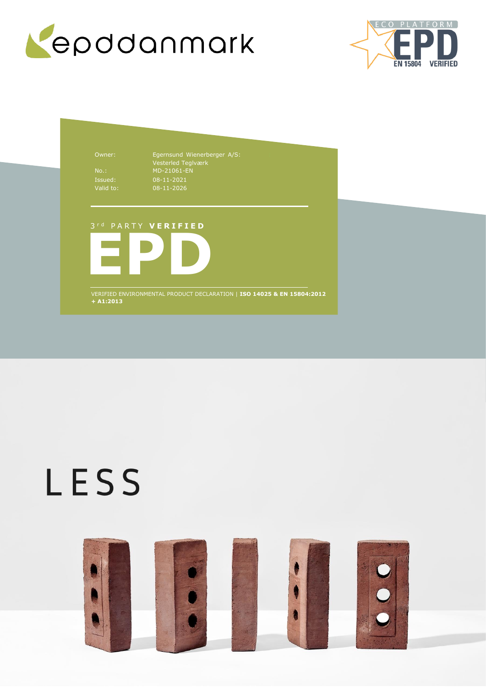



Owner: Egernsund Wienerberger A/S: Vesterled Teglværk No.: MD-21061-EN 08-11-2021 08-11-2026

# 3 r d P A R T Y **V E R I F I E D**



VERIFIED ENVIRONMENTAL PRODUCT DECLARATION | **ISO 14025 & EN 15804:2012 + A1:2013**

# LESS

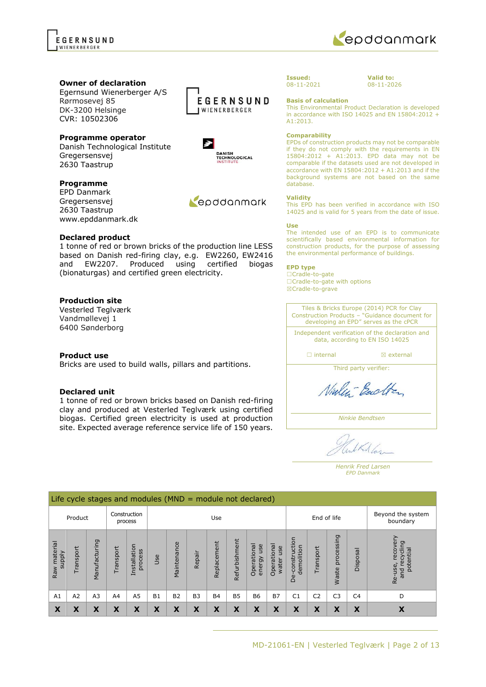

### **Owner of declaration**

Egernsund Wienerberger A/S Rørmosevej 85 DK-3200 Helsinge CVR: 10502306

# **Programme operator**

Danish Technological Institute Gregersensvej 2630 Taastrup

# **Programme**

EPD Danmark Gregersensvej 2630 Taastrup www.epddanmark.dk

### **Declared product**

1 tonne of red or brown bricks of the production line LESS based on Danish red-firing clay, e.g. EW2260, EW2416 and EW2207. Produced using certified biogas (bionaturgas) and certified green electricity.

# **Production site**

Vesterled Teglværk Vandmøllevej 1 6400 Sønderborg

### **Product use**

Bricks are used to build walls, pillars and partitions.

### **Declared unit**

1 tonne of red or brown bricks based on Danish red-firing clay and produced at Vesterled Teglværk using certified biogas. Certified green electricity is used at production site. Expected average reference service life of 150 years.





 $\Rightarrow$ 

DANISH<br>TECHNOLOGICAL<br>INSTITUTE

Repodanmark



**Valid to:** 08-11-2026

**Basis of calculation**

This Environmental Product Declaration is developed in accordance with ISO 14025 and EN 15804:2012 + A1:2013.

#### **Comparability**

EPDs of construction products may not be comparable if they do not comply with the requirements in EN 15804:2012 + A1:2013. EPD data may not be comparable if the datasets used are not developed in accordance with EN 15804:2012 + A1:2013 and if the background systems are not based on the same database.

#### **Validity**

This EPD has been verified in accordance with ISO 14025 and is valid for 5 years from the date of issue.

#### **Use**

The intended use of an EPD is to communicate scientifically based environmental information for construction products, for the purpose of assessing the environmental performance of buildings.

#### **EPD type**

☐Cradle-to-gate ☐Cradle-to-gate with options ☒Cradle-to-grave

Tiles & Bricks Europe (2014) PCR for Clay Construction Products – "Guidance document for developing an EPD" serves as the cPCR

Independent verification of the declaration and data, according to EN ISO 14025

□ internal **I I** axternal

Third party verifier:

Ninley-Backton

*Ninkie Bendtsen*

IKA las

*Henrik Fred Larsen EPD Danmark*

|                                    | Life cycle stages and modules ( $MND =$ module not declared) |                |          |                         |           |             |           |             |               |                              |                             |                                     |                |                     |                               |                                                                                 |
|------------------------------------|--------------------------------------------------------------|----------------|----------|-------------------------|-----------|-------------|-----------|-------------|---------------|------------------------------|-----------------------------|-------------------------------------|----------------|---------------------|-------------------------------|---------------------------------------------------------------------------------|
| Construction<br>Product<br>process |                                                              |                |          |                         | Use       |             |           |             |               |                              |                             | End of life                         |                |                     | Beyond the system<br>boundary |                                                                                 |
| material<br><b>Alddns</b><br>Raw   | Transport                                                    | Manufacturing  | ransport | Installation<br>process | Jse       | Maintenance | Repair    | Replacement | Refurbishment | Operational<br>use<br>energy | Operational<br>use<br>water | uction<br>demolition<br>constr<br>ف | Transport      | processing<br>Waste | <b>Isposal</b><br>ō           | ≻<br>recove<br>recycling<br>potential<br>Re-use,<br>$\overline{E}$<br>$\bar{a}$ |
| A1                                 | A2                                                           | A <sub>3</sub> | A4       | A <sub>5</sub>          | <b>B1</b> | <b>B2</b>   | <b>B3</b> | <b>B4</b>   | <b>B5</b>     | <b>B6</b>                    | <b>B7</b>                   | C <sub>1</sub>                      | C <sub>2</sub> | C <sub>3</sub>      | C <sub>4</sub>                | D                                                                               |
| X                                  | X                                                            | X              | X        | X                       | X         | X           | X         | X           | X             | X                            | X                           | X                                   | X              | Χ                   | X                             | X                                                                               |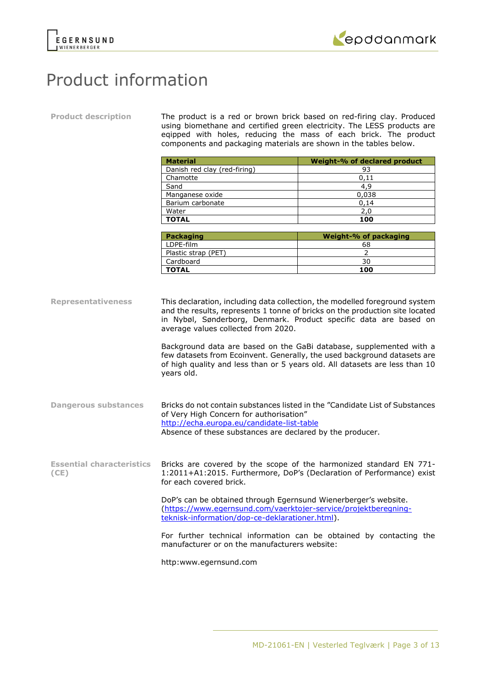



# Product information

**Product description** The product is a red or brown brick based on red-firing clay. Produced using biomethane and certified green electricity. The LESS products are eqipped with holes, reducing the mass of each brick. The product components and packaging materials are shown in the tables below.

| <b>Material</b>              | Weight-% of declared product |
|------------------------------|------------------------------|
| Danish red clay (red-firing) | 93                           |
| Chamotte                     | 0.11                         |
| Sand                         | 4,9                          |
| Manganese oxide              | 0,038                        |
| Barium carbonate             | 0.14                         |
| Water                        | 2,0                          |
| <b>TOTAL</b>                 | 100                          |

| <b>Packaging</b>    | Weight-% of packaging |
|---------------------|-----------------------|
| LDPE-film           | 68                    |
| Plastic strap (PET) |                       |
| Cardboard           | 30                    |
| <b>TOTAL</b>        | 100                   |

**Representativeness** This declaration, including data collection, the modelled foreground system and the results, represents 1 tonne of bricks on the production site located in Nybøl, Sønderborg, Denmark. Product specific data are based on average values collected from 2020. Background data are based on the GaBi database, supplemented with a few datasets from Ecoinvent. Generally, the used background datasets are of high quality and less than or 5 years old. All datasets are less than 10 years old. **Dangerous substances** Bricks do not contain substances listed in the "Candidate List of Substances of Very High Concern for authorisation" <http://echa.europa.eu/candidate-list-table> Absence of these substances are declared by the producer. **Essential characteristics (CE)** Bricks are covered by the scope of the harmonized standard EN 771- 1:2011+A1:2015. Furthermore, DoP's (Declaration of Performance) exist for each covered brick. DoP's can be obtained through Egernsund Wienerberger's website. [\(https://www.egernsund.com/vaerktojer-service/projektberegning](https://www.egernsund.com/vaerktojer-service/projektberegning-teknisk-information/dop-ce-deklarationer.html)[teknisk-information/dop-ce-deklarationer.html\)](https://www.egernsund.com/vaerktojer-service/projektberegning-teknisk-information/dop-ce-deklarationer.html). For further technical information can be obtained by contacting the manufacturer or on the manufacturers website:

http:www.egernsund.com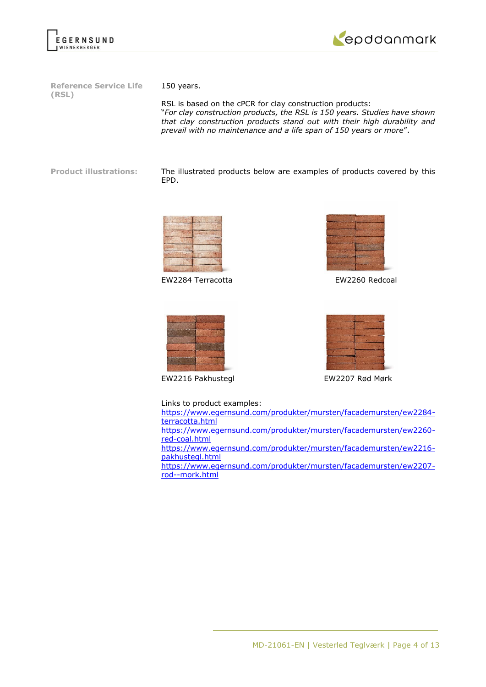



**Reference Service Life (RSL)**

150 years.

RSL is based on the cPCR for clay construction products: "*For clay construction products, the RSL is 150 years. Studies have shown that clay construction products stand out with their high durability and prevail with no maintenance and a life span of 150 years or more*".

**Product illustrations:** The illustrated products below are examples of products covered by this EPD.



EW2284 Terracotta EW2260 Redcoal





EW2216 Pakhustegl EW2207 Rød Mørk



Links to product examples:

[https://www.egernsund.com/produkter/mursten/facademursten/ew2284](https://www.egernsund.com/produkter/mursten/facademursten/ew2284-terracotta.html) [terracotta.html](https://www.egernsund.com/produkter/mursten/facademursten/ew2284-terracotta.html) [https://www.egernsund.com/produkter/mursten/facademursten/ew2260](https://www.egernsund.com/produkter/mursten/facademursten/ew2260-red-coal.html) [red-coal.html](https://www.egernsund.com/produkter/mursten/facademursten/ew2260-red-coal.html) [https://www.egernsund.com/produkter/mursten/facademursten/ew2216-](https://www.egernsund.com/produkter/mursten/facademursten/ew2216-pakhustegl.html)

[pakhustegl.html](https://www.egernsund.com/produkter/mursten/facademursten/ew2216-pakhustegl.html) [https://www.egernsund.com/produkter/mursten/facademursten/ew2207](https://www.egernsund.com/produkter/mursten/facademursten/ew2207-rod--mork.html) [rod--mork.html](https://www.egernsund.com/produkter/mursten/facademursten/ew2207-rod--mork.html)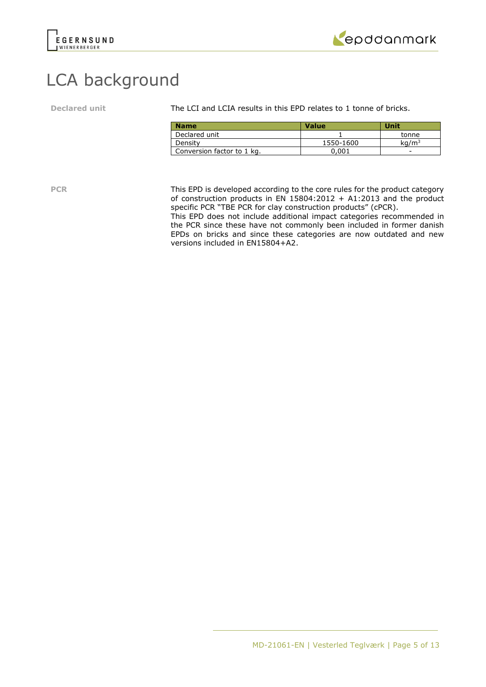



# LCA background

**Declared unit** The LCI and LCIA results in this EPD relates to 1 tonne of bricks.

| <b>Name</b>                | <b>Value</b> | Unit         |
|----------------------------|--------------|--------------|
| Declared unit              |              | tonne        |
| Density                    | 1550-1600    | $\rm ka/m^3$ |
| Conversion factor to 1 kg. | 0.001        | -            |

**PCR** This EPD is developed according to the core rules for the product category of construction products in EN  $15804:2012 + A1:2013$  and the product specific PCR "TBE PCR for clay construction products" (cPCR).

This EPD does not include additional impact categories recommended in the PCR since these have not commonly been included in former danish EPDs on bricks and since these categories are now outdated and new versions included in EN15804+A2.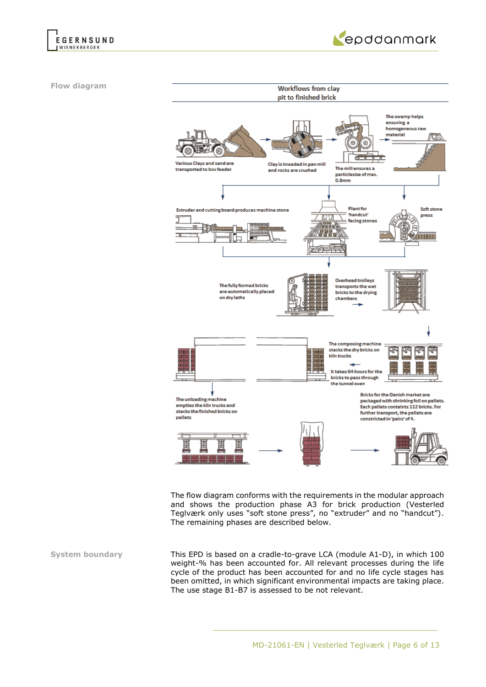



**Flow diagram**



The flow diagram conforms with the requirements in the modular approach and shows the production phase A3 for brick production (Vesterled Teglværk only uses "soft stone press", no "extruder" and no "handcut"). The remaining phases are described below.

**System boundary** This EPD is based on a cradle-to-grave LCA (module A1-D), in which 100 weight-% has been accounted for. All relevant processes during the life cycle of the product has been accounted for and no life cycle stages has been omitted, in which significant environmental impacts are taking place. The use stage B1-B7 is assessed to be not relevant.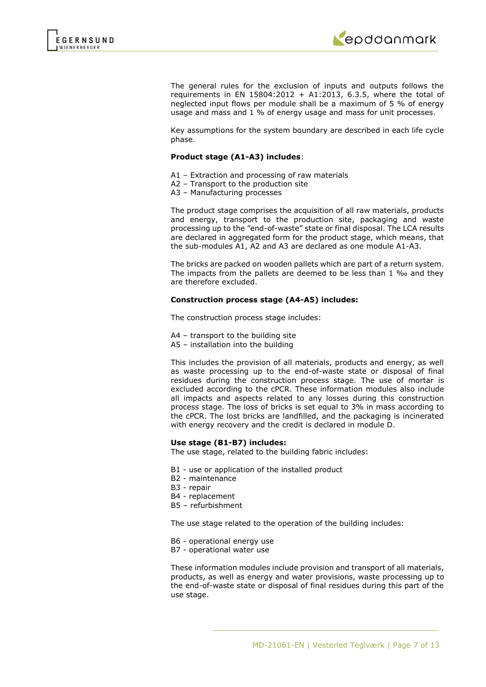

The general rules for the exclusion of inputs and outputs follows the requirements in EN 15804:2012 + A1:2013, 6.3.5, where the total of neglected input flows per module shall be a maximum of 5 % of energy usage and mass and 1 % of energy usage and mass for unit processes.

Key assumptions for the system boundary are described in each life cycle phase.

### **Product stage (A1-A3) includes**:

- A1 Extraction and processing of raw materials
- A2 Transport to the production site
- A3 Manufacturing processes

The product stage comprises the acquisition of all raw materials, products and energy, transport to the production site, packaging and waste processing up to the "end-of-waste" state or final disposal. The LCA results are declared in aggregated form for the product stage, which means, that the sub-modules A1, A2 and A3 are declared as one module A1-A3.

The bricks are packed on wooden pallets which are part of a return system. The impacts from the pallets are deemed to be less than 1 ‰ and they are therefore excluded.

# **Construction process stage (A4-A5) includes:**

The construction process stage includes:

- A4 transport to the building site
- A5 installation into the building

This includes the provision of all materials, products and energy, as well as waste processing up to the end-of-waste state or disposal of final residues during the construction process stage. The use of mortar is excluded according to the cPCR. These information modules also include all impacts and aspects related to any losses during this construction process stage. The loss of bricks is set equal to 3% in mass according to the cPCR. The lost bricks are landfilled, and the packaging is incinerated with energy recovery and the credit is declared in module D.

### **Use stage (B1-B7) includes:**

The use stage, related to the building fabric includes:

- B1 use or application of the installed product
- B2 maintenance
- B3 repair
- B4 replacement
- B5 refurbishment

The use stage related to the operation of the building includes:

- B6 operational energy use
- B7 operational water use

These information modules include provision and transport of all materials, products, as well as energy and water provisions, waste processing up to the end-of-waste state or disposal of final residues during this part of the use stage.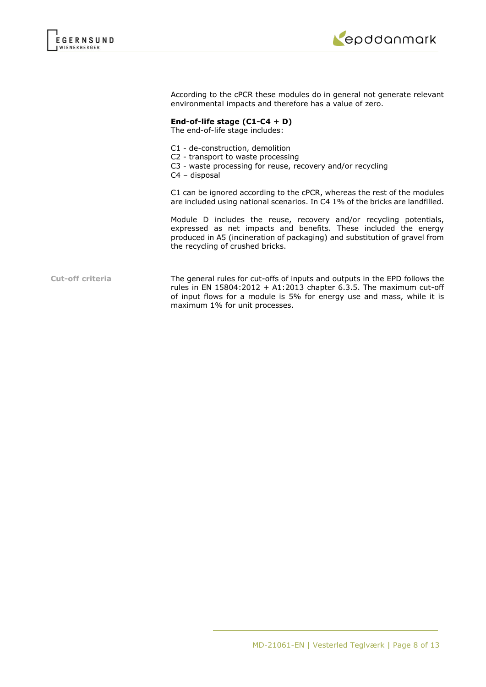



According to the cPCR these modules do in general not generate relevant environmental impacts and therefore has a value of zero.

# **End-of-life stage (C1-C4 + D)**

The end-of-life stage includes:

- C1 de-construction, demolition
- C2 transport to waste processing
- C3 waste processing for reuse, recovery and/or recycling
- C4 disposal

C1 can be ignored according to the cPCR, whereas the rest of the modules are included using national scenarios. In C4 1% of the bricks are landfilled.

Module D includes the reuse, recovery and/or recycling potentials, expressed as net impacts and benefits. These included the energy produced in A5 (incineration of packaging) and substitution of gravel from the recycling of crushed bricks.

**Cut-off criteria** The general rules for cut-offs of inputs and outputs in the EPD follows the rules in EN  $15804:2012 + A1:2013$  chapter 6.3.5. The maximum cut-off of input flows for a module is 5% for energy use and mass, while it is maximum 1% for unit processes.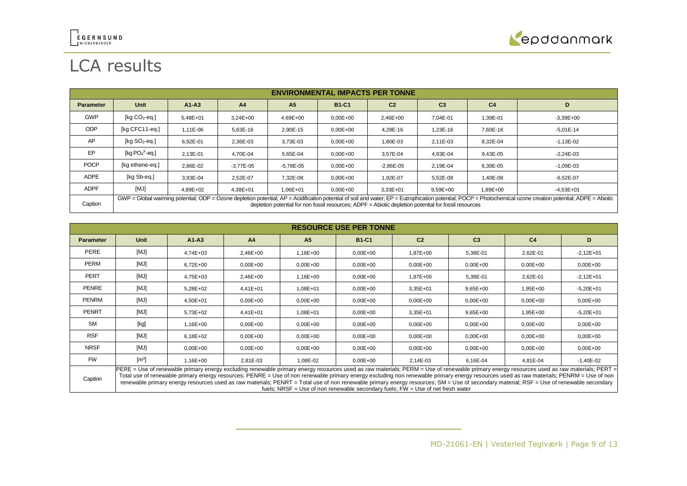

# LCA results

|                  | <b>ENVIRONMENTAL IMPACTS PER TONNE</b>                                                                                                                                                                                                                                                                                 |              |                |                |              |                |                |                |               |
|------------------|------------------------------------------------------------------------------------------------------------------------------------------------------------------------------------------------------------------------------------------------------------------------------------------------------------------------|--------------|----------------|----------------|--------------|----------------|----------------|----------------|---------------|
| <b>Parameter</b> | <b>Unit</b>                                                                                                                                                                                                                                                                                                            | $A1 - A3$    | A <sub>4</sub> | A <sub>5</sub> | <b>B1-C1</b> | C <sub>2</sub> | C <sub>3</sub> | C <sub>4</sub> | D             |
| <b>GWP</b>       | [ $kg CO2$ -eq.]                                                                                                                                                                                                                                                                                                       | $5.48E + 01$ | $3.24E + 00$   | 4,69E+00       | $0.00E + 00$ | 2,46E+00       | 7.04E-01       | 1.39E-01       | $-3,39E+00$   |
| <b>ODP</b>       | [kg CFC11-eq.]                                                                                                                                                                                                                                                                                                         | 1,11E-06     | 5,63E-16       | 2,90E-15       | $0.00E + 00$ | 4,28E-16       | 1,23E-16       | 7.60E-16       | $-5.01E-14$   |
| AP               | [ $kg SO2-eq.]$                                                                                                                                                                                                                                                                                                        | 6,92E-01     | 2,36E-03       | 3,73E-03       | $0.00E + 00$ | 1,80E-03       | 2,11E-03       | 8.32E-04       | $-1,13E-02$   |
| EP               | [kg $PO43$ -eg.]                                                                                                                                                                                                                                                                                                       | 2.13E-01     | 4.70E-04       | 5,65E-04       | $0.00E + 00$ | 3.57E-04       | 4.93E-04       | 9.43E-05       | $-2.24E - 03$ |
| <b>POCP</b>      | [kg ethene-eg.]                                                                                                                                                                                                                                                                                                        | 2.86E-02     | $-3.77E - 05$  | $-5.78E - 05$  | $0.00E + 00$ | $-2.86E - 05$  | 2.19E-04       | 6.39E-05       | $-1.09E - 03$ |
| <b>ADPE</b>      | [kg Sb-eq.]                                                                                                                                                                                                                                                                                                            | 3.93E-04     | 2.52E-07       | 7,32E-08       | $0.00E + 00$ | 1.92E-07       | 5,52E-08       | 1,40E-08       | $-6,52E-07$   |
| <b>ADPF</b>      | [MJ]                                                                                                                                                                                                                                                                                                                   | 4.89E+02     | $4.38E + 01$   | $1.06E + 01$   | $0.00E + 00$ | 3,33E+01       | $9.59E + 00$   | 1.89E+00       | $-4.53E + 01$ |
| Caption          | GWP = Global warming potential; ODP = Ozone depletion potential; AP = Acidification potential of soil and water; EP = Eutrophication potential; POCP = Photochemical ozone creation potential; ADPE = Abiotic<br>depletion potential for non fossil resources: ADPF = Abiotic depletion potential for fossil resources |              |                |                |              |                |                |                |               |

|                  | <b>RESOURCE USE PER TONNE</b> |              |                |                |                                                                                                                                                                                                                                                                                                                                                                                                                                                                                                                                                                                 |                |                |                |              |
|------------------|-------------------------------|--------------|----------------|----------------|---------------------------------------------------------------------------------------------------------------------------------------------------------------------------------------------------------------------------------------------------------------------------------------------------------------------------------------------------------------------------------------------------------------------------------------------------------------------------------------------------------------------------------------------------------------------------------|----------------|----------------|----------------|--------------|
| <b>Parameter</b> | <b>Unit</b>                   | $A1 - A3$    | A <sub>4</sub> | A <sub>5</sub> | <b>B1-C1</b>                                                                                                                                                                                                                                                                                                                                                                                                                                                                                                                                                                    | C <sub>2</sub> | C <sub>3</sub> | C <sub>4</sub> | D.           |
| <b>PERE</b>      | [MJ]                          | $4.74E + 03$ | 2,46E+00       | $1.16E + 00$   | $0.00E + 00$                                                                                                                                                                                                                                                                                                                                                                                                                                                                                                                                                                    | 1.87E+00       | 5,38E-01       | 2,62E-01       | $-2,12E+01$  |
| <b>PERM</b>      | [MJ]                          | $6,72E+00$   | $0.00E + 00$   | $0,00E+00$     | $0.00E + 00$                                                                                                                                                                                                                                                                                                                                                                                                                                                                                                                                                                    | $0,00E+00$     | $0,00E+00$     | $0,00E + 00$   | $0,00E + 00$ |
| <b>PERT</b>      | [MJ]                          | 4,75E+03     | 2,46E+00       | 1,16E+00       | $0.00E + 00$                                                                                                                                                                                                                                                                                                                                                                                                                                                                                                                                                                    | 1.87E+00       | 5,38E-01       | 2,62E-01       | $-2,12E+01$  |
| <b>PENRE</b>     | [MJ]                          | 5,28E+02     | 4,41E+01       | 1,08E+01       | $0.00E + 00$                                                                                                                                                                                                                                                                                                                                                                                                                                                                                                                                                                    | 3,35E+01       | $9,65E+00$     | 1,95E+00       | $-5,20E+01$  |
| PENRM            | [MJ]                          | 4,50E+01     | $0.00E + 00$   | $0.00E + 00$   | $0.00E + 00$                                                                                                                                                                                                                                                                                                                                                                                                                                                                                                                                                                    | $0,00E+00$     | $0,00E + 00$   | $0,00E + 00$   | $0,00E+00$   |
| <b>PENRT</b>     | [MJ]                          | 5,73E+02     | 4,41E+01       | 1,08E+01       | $0.00E + 00$                                                                                                                                                                                                                                                                                                                                                                                                                                                                                                                                                                    | 3,35E+01       | $9,65E+00$     | 1,95E+00       | $-5,20E+01$  |
| <b>SM</b>        | [kg]                          | 1,16E+00     | $0.00E + 00$   | $0.00E + 00$   | $0.00E + 00$                                                                                                                                                                                                                                                                                                                                                                                                                                                                                                                                                                    | $0,00E+00$     | $0,00E + 00$   | $0,00E + 00$   | $0,00E + 00$ |
| <b>RSF</b>       | [MJ]                          | 6,18E+02     | $0.00E + 00$   | $0.00E + 00$   | $0.00E + 00$                                                                                                                                                                                                                                                                                                                                                                                                                                                                                                                                                                    | $0,00E+00$     | $0,00E + 00$   | $0,00E + 00$   | $0,00E+00$   |
| <b>NRSF</b>      | [MJ]                          | $0,00E+00$   | $0.00E + 00$   | $0.00E + 00$   | $0.00E + 00$                                                                                                                                                                                                                                                                                                                                                                                                                                                                                                                                                                    | $0,00E+00$     | $0,00E + 00$   | $0,00E + 00$   | $0,00E+00$   |
| <b>FW</b>        | $\left[\text{m}^3\right]$     | $1.16E + 00$ | 2,81E-03       | 1,08E-02       | $0.00E + 00$                                                                                                                                                                                                                                                                                                                                                                                                                                                                                                                                                                    | 2.14E-03       | 6,16E-04       | 4,81E-04       | $-1,40E-02$  |
| Caption          |                               |              |                |                | PERE = Use of renewable primary energy excluding renewable primary energy resources used as raw materials; PERM = Use of renewable primary energy resources used as raw materials; PERT =<br>Total use of renewable primary energy resources; PENRE = Use of non renewable primary energy excluding non renewable primary energy resources used as raw materials; PENRM = Use of non<br>renoughle primary energy resources used as row meterials: DENDT - Total use of non renoughle primary energy resources: CM - Use of escendery meterial: DCE - Use of renoughle escendery |                |                |                |              |

renewable primary energy resources used as raw materials; PENRT = Total use of non renewable primary energy resources; SM = Use of secondary material; RSF = Use of renewable secondary fuels; NRSF = Use of non renewable secondary fuels; FW = Use of net fresh water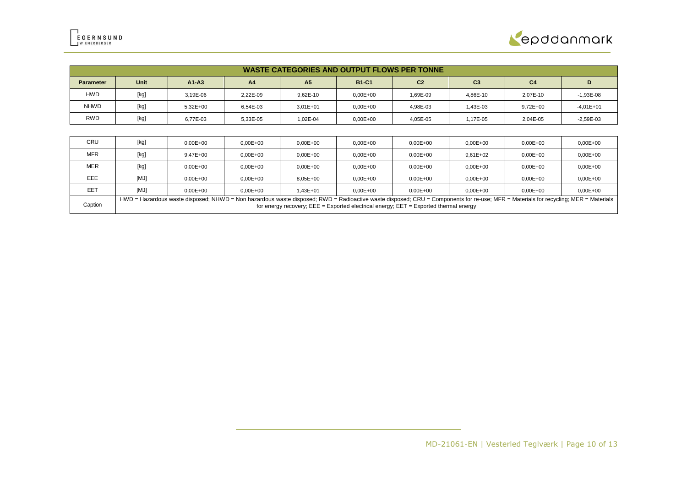

|                  | <b>WASTE CATEGORIES AND OUTPUT FLOWS PER TONNE</b> |              |                |                |              |                |                |                |             |
|------------------|----------------------------------------------------|--------------|----------------|----------------|--------------|----------------|----------------|----------------|-------------|
| <b>Parameter</b> | Unit                                               | $A1-A3$      | A <sub>4</sub> | A <sub>5</sub> | <b>B1-C1</b> | C <sub>2</sub> | C <sub>3</sub> | C <sub>4</sub> |             |
| <b>HWD</b>       | [kg]                                               | 3.19E-06     | 2.22E-09       | 9,62E-10       | $0.00E + 00$ | 1.69E-09       | 4,86E-10       | 2.07E-10       | $-1,93E-08$ |
| <b>NHWD</b>      | [kg]                                               | $5.32E + 00$ | 6.54E-03       | $3,01E+01$     | $0,00E + 00$ | 4.98E-03       | 1,43E-03       | $9,72E+00$     | $-4,01E+01$ |
| <b>RWD</b>       | [kg]                                               | 6.77E-03     | 5.33E-05       | 1.02E-04       | $0.00E + 00$ | 4.05E-05       | 1,17E-05       | 2,04E-05       | $-2,59E-03$ |
|                  |                                                    |              |                |                |              |                |                |                |             |

| CRU        | [kg]                                                                                                                                                                                                                                                                            | $0.00E + 00$ | $0.00E + 00$ | $0.00E + 00$ | $0.00E + 00$ | $0.00E + 00$ | $0.00E + 00$ | $0.00E + 00$ | $0.00E + 00$ |
|------------|---------------------------------------------------------------------------------------------------------------------------------------------------------------------------------------------------------------------------------------------------------------------------------|--------------|--------------|--------------|--------------|--------------|--------------|--------------|--------------|
| <b>MFR</b> | [kg]                                                                                                                                                                                                                                                                            | 9.47E+00     | $0.00E + 00$ | $0.00E + 00$ | $0.00E + 00$ | $0.00E + 00$ | $9.61E + 02$ | $0.00E + 00$ | $0.00E + 00$ |
| <b>MER</b> | [kg]                                                                                                                                                                                                                                                                            | $0.00E + 00$ | $0.00E + 00$ | $0.00E + 00$ | $0.00E + 00$ | $0.00E + 00$ | $0.00E + 00$ | $0.00E + 00$ | $0.00E + 00$ |
| EEE        | [MJ]                                                                                                                                                                                                                                                                            | $0.00E + 00$ | $0.00E + 00$ | 8.05E+00     | $0.00E + 00$ | $0.00E + 00$ | $0.00E + 00$ | $0.00E + 00$ | $0.00E + 00$ |
| EET        | [MJ]                                                                                                                                                                                                                                                                            | $0.00E + 00$ | $0.00E + 00$ | 1.43E+01     | $0.00E + 00$ | $0.00E + 00$ | $0.00E + 00$ | $0.00E + 00$ | $0.00E + 00$ |
| Caption    | HWD = Hazardous waste disposed; NHWD = Non hazardous waste disposed; RWD = Radioactive waste disposed; CRU = Components for re-use; MFR = Materials for recycling; MER = Materials<br>for energy recovery; $EEE = Exported electrical energy$ ; $EET = Exported thermal energy$ |              |              |              |              |              |              |              |              |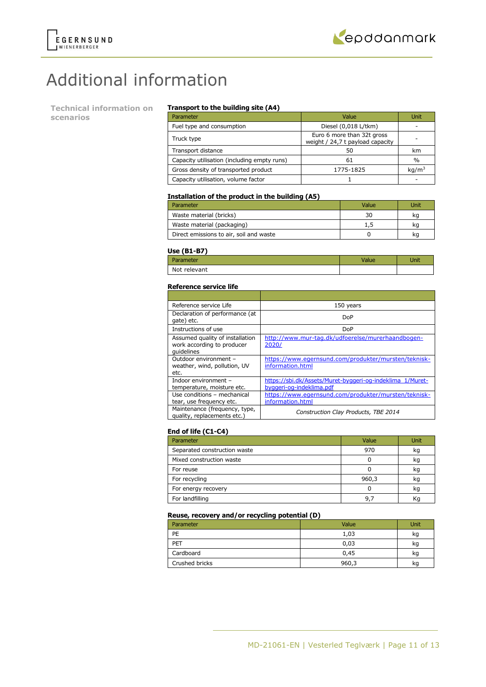

# Additional information

**Technical information on scenarios**

### **Transport to the building site (A4)**

| Parameter                                   | Value                                                          | Unit              |
|---------------------------------------------|----------------------------------------------------------------|-------------------|
| Fuel type and consumption                   | Diesel (0,018 L/tkm)                                           |                   |
| Truck type                                  | Euro 6 more than 32t gross<br>weight / 24,7 t payload capacity |                   |
| Transport distance                          | 50                                                             | km                |
| Capacity utilisation (including empty runs) | 61                                                             | $\%$              |
| Gross density of transported product        | 1775-1825                                                      | kg/m <sup>3</sup> |
| Capacity utilisation, volume factor         |                                                                |                   |

### **Installation of the product in the building (A5)**

| Parameter                               | Value | Unit |
|-----------------------------------------|-------|------|
| Waste material (bricks)                 | 30    | kq   |
| Waste material (packaging)              |       | kq   |
| Direct emissions to air, soil and waste |       | kq   |

#### **Use (B1-B7)**

| <b>Parameter</b> | Value | Unit |
|------------------|-------|------|
| Not relevant     |       |      |

### **Reference service life**

| Reference service Life                                                      | 150 years                                                                             |
|-----------------------------------------------------------------------------|---------------------------------------------------------------------------------------|
| Declaration of performance (at<br>gate) etc.                                | DoP                                                                                   |
| Instructions of use                                                         | DoP                                                                                   |
| Assumed quality of installation<br>work according to producer<br>quidelines | http://www.mur-tag.dk/udfoerelse/murerhaandbogen-<br>2020/                            |
| Outdoor environment -<br>weather, wind, pollution, UV<br>etc.               | https://www.egernsund.com/produkter/mursten/teknisk-<br>information.html              |
| Indoor environment -<br>temperature, moisture etc.                          | https://sbi.dk/Assets/Muret-byggeri-og-indeklima_1/Muret-<br>byggeri-og-indeklima.pdf |
| Use conditions - mechanical<br>tear, use frequency etc.                     | https://www.egernsund.com/produkter/mursten/teknisk-<br>information.html              |
| Maintenance (frequency, type,<br>quality, replacements etc.)                | Construction Clay Products, TBE 2014                                                  |

# **End of life (C1-C4)**

| Parameter                    | Value | Unit |
|------------------------------|-------|------|
| Separated construction waste | 970   | kg   |
| Mixed construction waste     |       | kg   |
| For reuse                    |       | kg   |
| For recycling                | 960,3 | kg   |
| For energy recovery          |       | kg   |
| For landfilling              | 9.    | Κg   |

### **Reuse, recovery and/or recycling potential (D)**

| Parameter      | Value | Unit |
|----------------|-------|------|
| PE             | 1,03  | kg   |
| PET            | 0,03  | kg   |
| Cardboard      | 0,45  | ĸq   |
| Crushed bricks | 960,3 | ĸq   |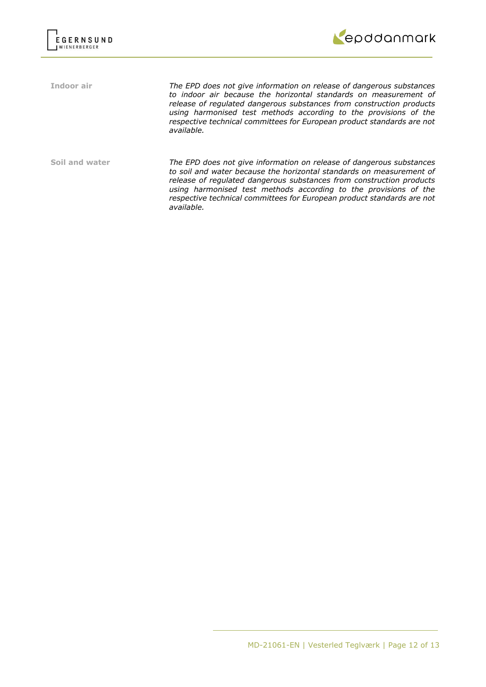



**Indoor air** *The EPD does not give information on release of dangerous substances to indoor air because the horizontal standards on measurement of release of regulated dangerous substances from construction products using harmonised test methods according to the provisions of the respective technical committees for European product standards are not available.*

**Soil and water** *The EPD does not give information on release of dangerous substances to soil and water because the horizontal standards on measurement of release of regulated dangerous substances from construction products using harmonised test methods according to the provisions of the respective technical committees for European product standards are not available.*